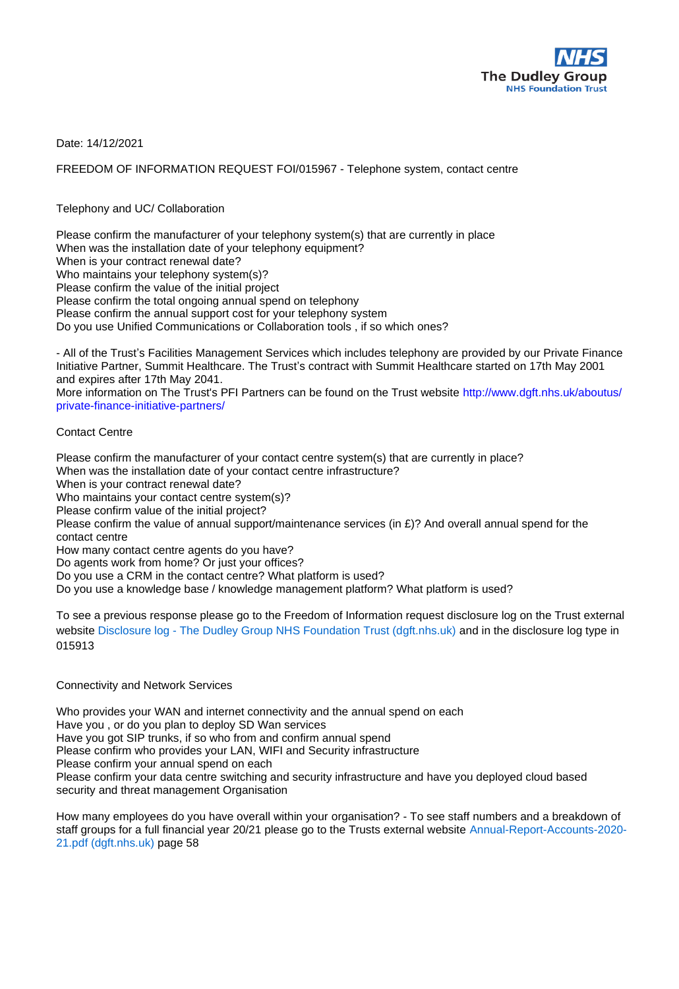

Date: 14/12/2021

FREEDOM OF INFORMATION REQUEST FOI/015967 - Telephone system, contact centre

Telephony and UC/ Collaboration

Please confirm the manufacturer of your telephony system(s) that are currently in place When was the installation date of your telephony equipment? When is your contract renewal date? Who maintains your telephony system(s)? Please confirm the value of the initial project Please confirm the total ongoing annual spend on telephony Please confirm the annual support cost for your telephony system Do you use Unified Communications or Collaboration tools , if so which ones?

- All of the Trust's Facilities Management Services which includes telephony are provided by our Private Finance Initiative Partner, Summit Healthcare. The Trust's contract with Summit Healthcare started on 17th May 2001 and expires after 17th May 2041.

More information on The Trust's PFI Partners can be found on the Trust website http://www.dgft.nhs.uk/aboutus/ private-finance-initiative-partners/

## Contact Centre

Please confirm the manufacturer of your contact centre system(s) that are currently in place? When was the installation date of your contact centre infrastructure? When is your contract renewal date? Who maintains your contact centre system(s)? Please confirm value of the initial project? Please confirm the value of annual support/maintenance services (in  $E$ )? And overall annual spend for the contact centre How many contact centre agents do you have? Do agents work from home? Or just your offices? Do you use a CRM in the contact centre? What platform is used? Do you use a knowledge base / knowledge management platform? What platform is used?

To see a previous response please go to the Freedom of Information request disclosure log on the Trust external website Disclosure log - The Dudley Group NHS Foundation Trust (dgft.nhs.uk) and in the disclosure log type in 015913

## Connectivity and Network Services

Who provides your WAN and internet connectivity and the annual spend on each Have you , or do you plan to deploy SD Wan services Have you got SIP trunks, if so who from and confirm annual spend Please confirm who provides your LAN, WIFI and Security infrastructure Please confirm your annual spend on each Please confirm your data centre switching and security infrastructure and have you deployed cloud based security and threat management Organisation

How many employees do you have overall within your organisation? - To see staff numbers and a breakdown of staff groups for a full financial year 20/21 please go to the Trusts external website Annual-Report-Accounts-2020- 21.pdf (dgft.nhs.uk) page 58